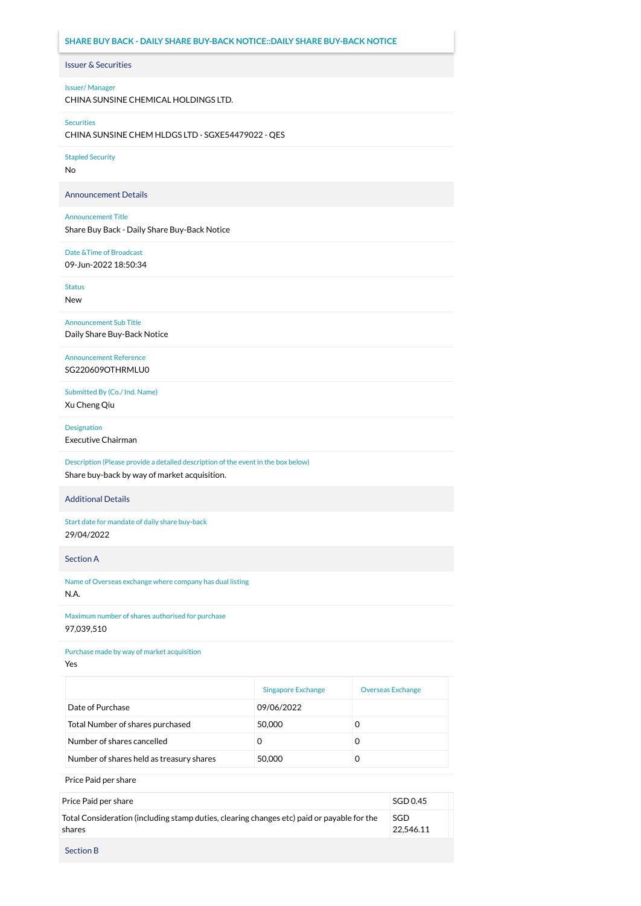# **SHARE BUY BACK - DAILY SHARE BUY-BACK NOTICE::DAILY SHARE BUY-BACK NOTICE**

## Issuer & Securities

### Issuer/ Manager

CHINA SUNSINE CHEMICAL HOLDINGS LTD.

#### Securities

CHINA SUNSINE CHEM HLDGS LTD - SGXE54479022 - QES

### Stapled Security

No

## Announcement Details

#### Announcement Title

Share Buy Back - Daily Share Buy-Back Notice

## Date &Time of Broadcast

09-Jun-2022 18:50:34

Status

New

Announcement Sub Title Daily Share Buy-Back Notice

## Announcement Reference SG220609OTHRMLU0

Submitted By (Co./ Ind. Name) Xu Cheng Qiu

Designation

Executive Chairman

Description (Please provide a detailed description of the event in the box below) Share buy-back by way of market acquisition.

## Additional Details

Start date for mandate of daily share buy-back 29/04/2022

Section A

Name of Overseas exchange where company has dual listing N.A.

Maximum number of shares authorised for purchase 97,039,510

### Purchase made by way of market acquisition

Yes

|                                          | <b>Singapore Exchange</b> | <b>Overseas Exchange</b> |
|------------------------------------------|---------------------------|--------------------------|
| Date of Purchase                         | 09/06/2022                |                          |
| Total Number of shares purchased         | 50,000                    | O                        |
| Number of shares cancelled               | O                         | 0                        |
| Number of shares held as treasury shares | 50,000                    | 0                        |

Price Paid per share

| Price Paid per share                                                                                 | SGD 0.45         |
|------------------------------------------------------------------------------------------------------|------------------|
| Total Consideration (including stamp duties, clearing changes etc) paid or payable for the<br>shares | SGD<br>22.546.11 |
| <b>Section B</b>                                                                                     |                  |